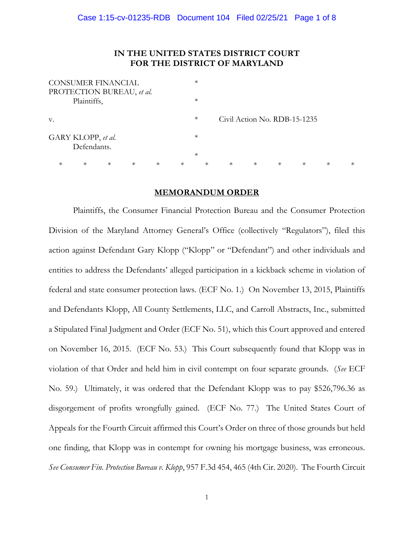# **IN THE UNITED STATES DISTRICT COURT FOR THE DISTRICT OF MARYLAND**

| <b>CONSUMER FINANCIAL</b> |                           |        |        |        |        | $\ast$ |        |                              |        |        |        |        |        |
|---------------------------|---------------------------|--------|--------|--------|--------|--------|--------|------------------------------|--------|--------|--------|--------|--------|
|                           | PROTECTION BUREAU, et al. |        |        |        |        |        |        |                              |        |        |        |        |        |
| Plaintiffs,               |                           |        |        |        |        | $\ast$ |        |                              |        |        |        |        |        |
|                           |                           |        |        |        |        |        |        |                              |        |        |        |        |        |
| V.                        |                           |        |        |        |        | $\ast$ |        | Civil Action No. RDB-15-1235 |        |        |        |        |        |
|                           |                           |        |        |        |        |        |        |                              |        |        |        |        |        |
| GARY KLOPP, et al.        |                           |        |        |        |        | $\ast$ |        |                              |        |        |        |        |        |
|                           | Defendants.               |        |        |        |        |        |        |                              |        |        |        |        |        |
|                           |                           |        |        |        |        | $\ast$ |        |                              |        |        |        |        |        |
| $^\ast$                   | $\ast$                    | $\ast$ | $\ast$ | $\ast$ | $\ast$ |        | $\ast$ | $\ast$                       | $\ast$ | $\ast$ | $\ast$ | $\ast$ | $\ast$ |
|                           |                           |        |        |        |        |        |        |                              |        |        |        |        |        |

## **MEMORANDUM ORDER**

Plaintiffs, the Consumer Financial Protection Bureau and the Consumer Protection Division of the Maryland Attorney General's Office (collectively "Regulators"), filed this action against Defendant Gary Klopp ("Klopp" or "Defendant") and other individuals and entities to address the Defendants' alleged participation in a kickback scheme in violation of federal and state consumer protection laws. (ECF No. 1.) On November 13, 2015, Plaintiffs and Defendants Klopp, All County Settlements, LLC, and Carroll Abstracts, Inc., submitted a Stipulated Final Judgment and Order (ECF No. 51), which this Court approved and entered on November 16, 2015. (ECF No. 53.) This Court subsequently found that Klopp was in violation of that Order and held him in civil contempt on four separate grounds. (*See* ECF No. 59.) Ultimately, it was ordered that the Defendant Klopp was to pay \$526,796.36 as disgorgement of profits wrongfully gained. (ECF No. 77.) The United States Court of Appeals for the Fourth Circuit affirmed this Court's Order on three of those grounds but held one finding, that Klopp was in contempt for owning his mortgage business, was erroneous. *See Consumer Fin. Protection Bureau v. Klopp*, 957 F.3d 454, 465 (4th Cir. 2020). The Fourth Circuit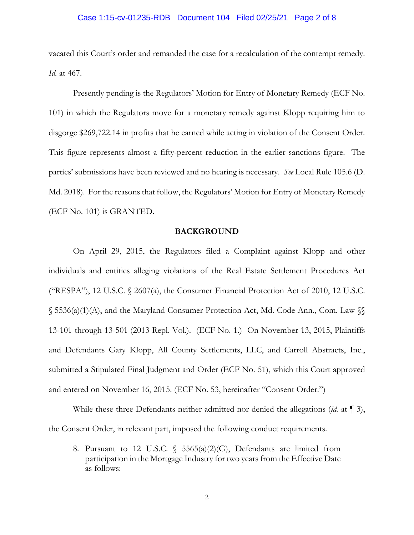### Case 1:15-cv-01235-RDB Document 104 Filed 02/25/21 Page 2 of 8

vacated this Court's order and remanded the case for a recalculation of the contempt remedy. *Id.* at 467.

Presently pending is the Regulators' Motion for Entry of Monetary Remedy (ECF No. 101) in which the Regulators move for a monetary remedy against Klopp requiring him to disgorge \$269,722.14 in profits that he earned while acting in violation of the Consent Order. This figure represents almost a fifty-percent reduction in the earlier sanctions figure. The parties' submissions have been reviewed and no hearing is necessary. *See* Local Rule 105.6 (D. Md. 2018). For the reasons that follow, the Regulators' Motion for Entry of Monetary Remedy (ECF No. 101) is GRANTED.

#### **BACKGROUND**

On April 29, 2015, the Regulators filed a Complaint against Klopp and other individuals and entities alleging violations of the Real Estate Settlement Procedures Act ("RESPA"), 12 U.S.C. § 2607(a), the Consumer Financial Protection Act of 2010, 12 U.S.C. § 5536(a)(1)(A), and the Maryland Consumer Protection Act, Md. Code Ann., Com. Law §§ 13-101 through 13-501 (2013 Repl. Vol.). (ECF No. 1.) On November 13, 2015, Plaintiffs and Defendants Gary Klopp, All County Settlements, LLC, and Carroll Abstracts, Inc., submitted a Stipulated Final Judgment and Order (ECF No. 51), which this Court approved and entered on November 16, 2015. (ECF No. 53, hereinafter "Consent Order.")

While these three Defendants neither admitted nor denied the allegations (*id.* at ¶ 3), the Consent Order, in relevant part, imposed the following conduct requirements.

8. Pursuant to 12 U.S.C. § 5565(a)(2)(G), Defendants are limited from participation in the Mortgage Industry for two years from the Effective Date as follows: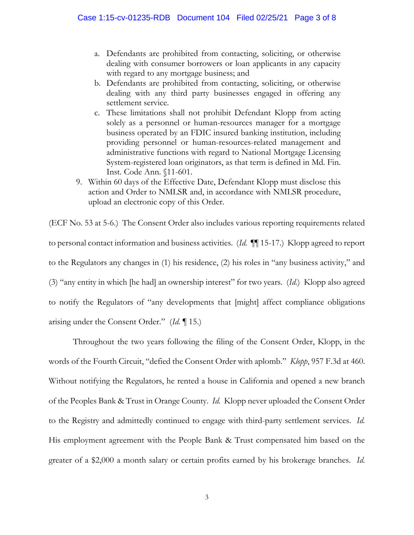- a. Defendants are prohibited from contacting, soliciting, or otherwise dealing with consumer borrowers or loan applicants in any capacity with regard to any mortgage business; and
- b. Defendants are prohibited from contacting, soliciting, or otherwise dealing with any third party businesses engaged in offering any settlement service.
- c. These limitations shall not prohibit Defendant Klopp from acting solely as a personnel or human-resources manager for a mortgage business operated by an FDIC insured banking institution, including providing personnel or human-resources-related management and administrative functions with regard to National Mortgage Licensing System-registered loan originators, as that term is defined in Md. Fin. Inst. Code Ann. §11-601.
- 9. Within 60 days of the Effective Date, Defendant Klopp must disclose this action and Order to NMLSR and, in accordance with NMLSR procedure, upload an electronic copy of this Order.

(ECF No. 53 at 5-6.) The Consent Order also includes various reporting requirements related to personal contact information and business activities. (*Id.* ¶¶ 15-17.) Klopp agreed to report to the Regulators any changes in (1) his residence, (2) his roles in "any business activity," and (3) "any entity in which [he had] an ownership interest" for two years. (*Id.*) Klopp also agreed to notify the Regulators of "any developments that [might] affect compliance obligations arising under the Consent Order." (*Id.* ¶ 15.)

Throughout the two years following the filing of the Consent Order, Klopp, in the words of the Fourth Circuit, "defied the Consent Order with aplomb." *Klopp*, 957 F.3d at 460. Without notifying the Regulators, he rented a house in California and opened a new branch of the Peoples Bank & Trust in Orange County. *Id.* Klopp never uploaded the Consent Order to the Registry and admittedly continued to engage with third-party settlement services. *Id.* His employment agreement with the People Bank & Trust compensated him based on the greater of a \$2,000 a month salary or certain profits earned by his brokerage branches. *Id.*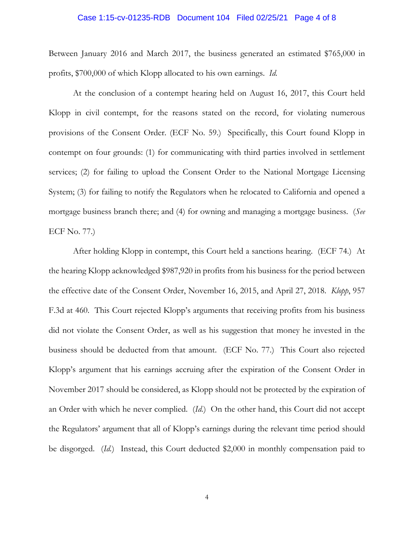#### Case 1:15-cv-01235-RDB Document 104 Filed 02/25/21 Page 4 of 8

Between January 2016 and March 2017, the business generated an estimated \$765,000 in profits, \$700,000 of which Klopp allocated to his own earnings. *Id.*

At the conclusion of a contempt hearing held on August 16, 2017, this Court held Klopp in civil contempt, for the reasons stated on the record, for violating numerous provisions of the Consent Order. (ECF No. 59.) Specifically, this Court found Klopp in contempt on four grounds: (1) for communicating with third parties involved in settlement services; (2) for failing to upload the Consent Order to the National Mortgage Licensing System; (3) for failing to notify the Regulators when he relocated to California and opened a mortgage business branch there; and (4) for owning and managing a mortgage business. (*See*  ECF No. 77.)

After holding Klopp in contempt, this Court held a sanctions hearing. (ECF 74.) At the hearing Klopp acknowledged \$987,920 in profits from his business for the period between the effective date of the Consent Order, November 16, 2015, and April 27, 2018. *Klopp*, 957 F.3d at 460. This Court rejected Klopp's arguments that receiving profits from his business did not violate the Consent Order, as well as his suggestion that money he invested in the business should be deducted from that amount. (ECF No. 77.) This Court also rejected Klopp's argument that his earnings accruing after the expiration of the Consent Order in November 2017 should be considered, as Klopp should not be protected by the expiration of an Order with which he never complied. (*Id.*) On the other hand, this Court did not accept the Regulators' argument that all of Klopp's earnings during the relevant time period should be disgorged. (*Id.*) Instead, this Court deducted \$2,000 in monthly compensation paid to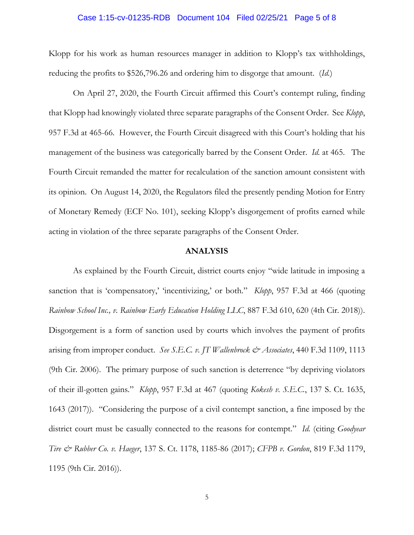#### Case 1:15-cv-01235-RDB Document 104 Filed 02/25/21 Page 5 of 8

Klopp for his work as human resources manager in addition to Klopp's tax withholdings, reducing the profits to \$526,796.26 and ordering him to disgorge that amount. (*Id.*)

On April 27, 2020, the Fourth Circuit affirmed this Court's contempt ruling, finding that Klopp had knowingly violated three separate paragraphs of the Consent Order. See *Klopp*, 957 F.3d at 465-66. However, the Fourth Circuit disagreed with this Court's holding that his management of the business was categorically barred by the Consent Order. *Id.* at 465. The Fourth Circuit remanded the matter for recalculation of the sanction amount consistent with its opinion. On August 14, 2020, the Regulators filed the presently pending Motion for Entry of Monetary Remedy (ECF No. 101), seeking Klopp's disgorgement of profits earned while acting in violation of the three separate paragraphs of the Consent Order.

#### **ANALYSIS**

As explained by the Fourth Circuit, district courts enjoy "wide latitude in imposing a sanction that is 'compensatory,' 'incentivizing,' or both." *Klopp*, 957 F.3d at 466 (quoting *Rainbow School Inc., v. Rainbow Early Education Holding LLC*, 887 F.3d 610, 620 (4th Cir. 2018)). Disgorgement is a form of sanction used by courts which involves the payment of profits arising from improper conduct. *See S.E.C. v. JT Wallenbrock & Associates*, 440 F.3d 1109, 1113 (9th Cir. 2006). The primary purpose of such sanction is deterrence "by depriving violators of their ill-gotten gains." *Klopp*, 957 F.3d at 467 (quoting *Kokesh v. S.E.C.*, 137 S. Ct. 1635, 1643 (2017)). "Considering the purpose of a civil contempt sanction, a fine imposed by the district court must be casually connected to the reasons for contempt." *Id.* (citing *Goodyear Tire & Rubber Co. v. Haeger*, 137 S. Ct. 1178, 1185-86 (2017); *CFPB v. Gordon*, 819 F.3d 1179, 1195 (9th Cir. 2016)).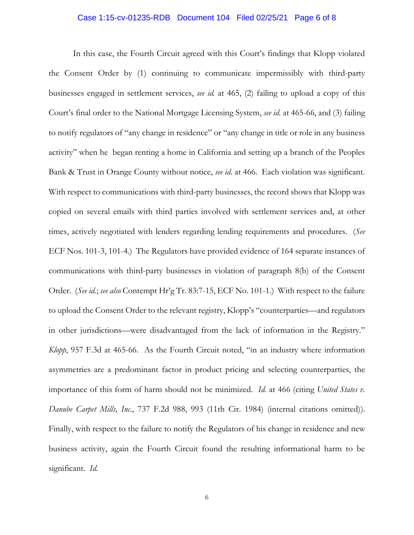### Case 1:15-cv-01235-RDB Document 104 Filed 02/25/21 Page 6 of 8

In this case, the Fourth Circuit agreed with this Court's findings that Klopp violated the Consent Order by (1) continuing to communicate impermissibly with third-party businesses engaged in settlement services, *see id.* at 465, (2) failing to upload a copy of this Court's final order to the National Mortgage Licensing System, *see id.* at 465-66, and (3) failing to notify regulators of "any change in residence" or "any change in title or role in any business activity" when he began renting a home in California and setting up a branch of the Peoples Bank & Trust in Orange County without notice, *see id.* at 466. Each violation was significant. With respect to communications with third-party businesses, the record shows that Klopp was copied on several emails with third parties involved with settlement services and, at other times, actively negotiated with lenders regarding lending requirements and procedures. (*See* ECF Nos. 101-3, 101-4.) The Regulators have provided evidence of 164 separate instances of communications with third-party businesses in violation of paragraph 8(b) of the Consent Order. (*See id.*; *see also* Contempt Hr'g Tr. 83:7-15, ECF No. 101-1.) With respect to the failure to upload the Consent Order to the relevant registry, Klopp's "counterparties—and regulators in other jurisdictions—were disadvantaged from the lack of information in the Registry." *Klopp*, 957 F.3d at 465-66. As the Fourth Circuit noted, "in an industry where information asymmetries are a predominant factor in product pricing and selecting counterparties, the importance of this form of harm should not be minimized. *Id.* at 466 (citing *United States v. Danube Carpet Mills, Inc.*, 737 F.2d 988, 993 (11th Cir. 1984) (internal citations omitted)). Finally, with respect to the failure to notify the Regulators of his change in residence and new business activity, again the Fourth Circuit found the resulting informational harm to be significant. *Id.*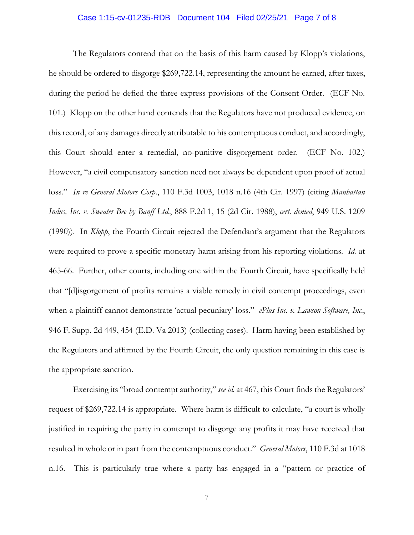### Case 1:15-cv-01235-RDB Document 104 Filed 02/25/21 Page 7 of 8

The Regulators contend that on the basis of this harm caused by Klopp's violations, he should be ordered to disgorge \$269,722.14, representing the amount he earned, after taxes, during the period he defied the three express provisions of the Consent Order. (ECF No. 101.) Klopp on the other hand contends that the Regulators have not produced evidence, on this record, of any damages directly attributable to his contemptuous conduct, and accordingly, this Court should enter a remedial, no-punitive disgorgement order. (ECF No. 102.) However, "a civil compensatory sanction need not always be dependent upon proof of actual loss." *In re General Motors Corp*., 110 F.3d 1003, 1018 n.16 (4th Cir. 1997) (citing *Manhattan Indus, Inc. v. Sweater Bee by Banff Ltd.*, 888 F.2d 1, 15 (2d Cir. 1988), *cert. denied*, 949 U.S. 1209 (1990)). In *Klopp*, the Fourth Circuit rejected the Defendant's argument that the Regulators were required to prove a specific monetary harm arising from his reporting violations. *Id.* at 465-66. Further, other courts, including one within the Fourth Circuit, have specifically held that "[d]isgorgement of profits remains a viable remedy in civil contempt proceedings, even when a plaintiff cannot demonstrate 'actual pecuniary' loss." *ePlus Inc. v. Lawson Software, Inc.*, 946 F. Supp. 2d 449, 454 (E.D. Va 2013) (collecting cases). Harm having been established by the Regulators and affirmed by the Fourth Circuit, the only question remaining in this case is the appropriate sanction.

Exercising its "broad contempt authority," *see id.* at 467, this Court finds the Regulators' request of \$269,722.14 is appropriate. Where harm is difficult to calculate, "a court is wholly justified in requiring the party in contempt to disgorge any profits it may have received that resulted in whole or in part from the contemptuous conduct." *General Motors*, 110 F.3d at 1018 n.16. This is particularly true where a party has engaged in a "pattern or practice of